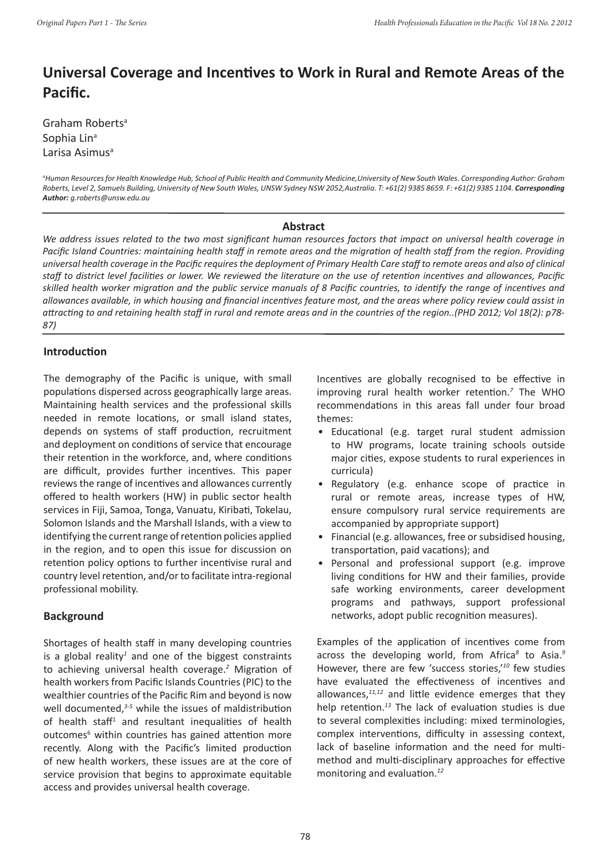# **Universal Coverage and Incentives to Work in Rural and Remote Areas of the Pacific.**

Graham Roberts<sup>a</sup> Sophia Lin<sup>a</sup> Larisa Asimus<sup>a</sup>

*a Human Resources for Health Knowledge Hub, School of Public Health and Community Medicine,University of New South Wales. Corresponding Author: Graham*  Roberts, Level 2, Samuels Building, University of New South Wales, UNSW Sydney NSW 2052,Australia. T: +61(2) 9385 8659. F: +61(2) 9385 1104. Corresponding *Author: g.roberts@unsw.edu.au*

#### **Abstract**

*We address issues related to the two most significant human resources factors that impact on universal health coverage in*  Pacific Island Countries: maintaining health staff in remote areas and the migration of health staff from the region. Providing *universal health coverage in the Pacific requires the deployment of Primary Health Care staff to remote areas and also of clinical staff to district level facilities or lower. We reviewed the literature on the use of retention incentives and allowances, Pacific skilled health worker migration and the public service manuals of 8 Pacific countries, to identify the range of incentives and allowances available, in which housing and financial incentives feature most, and the areas where policy review could assist in attracting to and retaining health staff in rural and remote areas and in the countries of the region..(PHD 2012; Vol 18(2): p78- 87)*

# **Introduction**

The demography of the Pacific is unique, with small populations dispersed across geographically large areas. Maintaining health services and the professional skills needed in remote locations, or small island states, depends on systems of staff production, recruitment and deployment on conditions of service that encourage their retention in the workforce, and, where conditions are difficult, provides further incentives. This paper reviews the range of incentives and allowances currently offered to health workers (HW) in public sector health services in Fiji, Samoa, Tonga, Vanuatu, Kiribati, Tokelau, Solomon Islands and the Marshall Islands, with a view to identifying the current range of retention policies applied in the region, and to open this issue for discussion on retention policy options to further incentivise rural and country level retention, and/or to facilitate intra-regional professional mobility.

# **Background**

Shortages of health staff in many developing countries is a global reality<sup>1</sup> and one of the biggest constraints to achieving universal health coverage.*<sup>2</sup>* Migration of health workers from Pacific Islands Countries (PIC) to the wealthier countries of the Pacific Rim and beyond is now well documented,*3-5* while the issues of maldistribution of health staff<sup>1</sup> and resultant inequalities of health outcomes<sup>6</sup> within countries has gained attention more recently. Along with the Pacific's limited production of new health workers, these issues are at the core of service provision that begins to approximate equitable access and provides universal health coverage.

Incentives are globally recognised to be effective in improving rural health worker retention.*<sup>7</sup>* The WHO recommendations in this areas fall under four broad themes:

- Educational (e.g. target rural student admission to HW programs, locate training schools outside major cities, expose students to rural experiences in curricula)
- Regulatory (e.g. enhance scope of practice in rural or remote areas, increase types of HW, ensure compulsory rural service requirements are accompanied by appropriate support)
- Financial (e.g. allowances, free or subsidised housing, transportation, paid vacations); and
- Personal and professional support (e.g. improve living conditions for HW and their families, provide safe working environments, career development programs and pathways, support professional networks, adopt public recognition measures).

Examples of the application of incentives come from across the developing world, from Africa*<sup>8</sup>* to Asia.*<sup>9</sup>* However, there are few 'success stories,'*<sup>10</sup>* few studies have evaluated the effectiveness of incentives and allowances,*11,12* and little evidence emerges that they help retention.*<sup>13</sup>* The lack of evaluation studies is due to several complexities including: mixed terminologies, complex interventions, difficulty in assessing context, lack of baseline information and the need for multimethod and multi-disciplinary approaches for effective monitoring and evaluation.*12*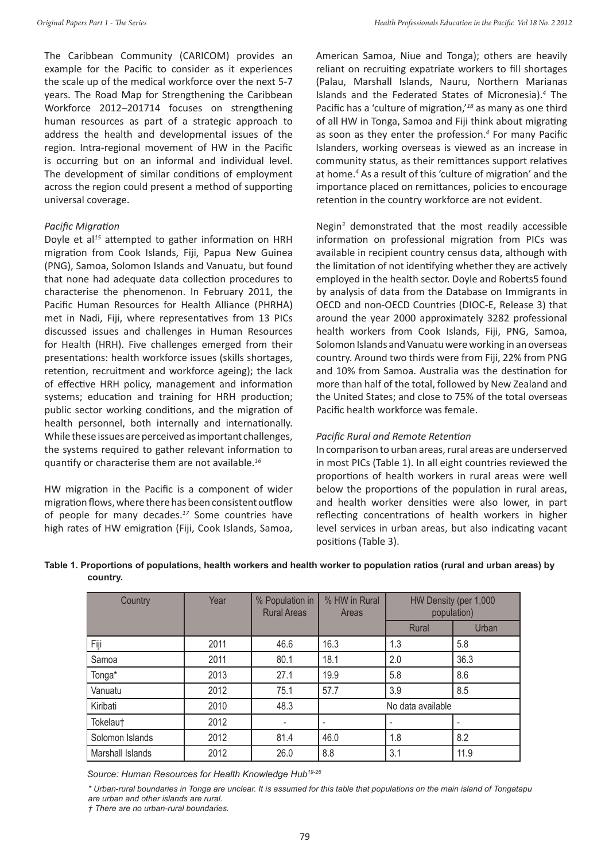The Caribbean Community (CARICOM) provides an example for the Pacific to consider as it experiences the scale up of the medical workforce over the next 5-7 years. The Road Map for Strengthening the Caribbean Workforce 2012–201714 focuses on strengthening human resources as part of a strategic approach to address the health and developmental issues of the region. Intra-regional movement of HW in the Pacific is occurring but on an informal and individual level. The development of similar conditions of employment across the region could present a method of supporting universal coverage.

#### *Pacific Migration*

Doyle et al*<sup>15</sup>* attempted to gather information on HRH migration from Cook Islands, Fiji, Papua New Guinea (PNG), Samoa, Solomon Islands and Vanuatu, but found that none had adequate data collection procedures to characterise the phenomenon. In February 2011, the Pacific Human Resources for Health Alliance (PHRHA) met in Nadi, Fiji, where representatives from 13 PICs discussed issues and challenges in Human Resources for Health (HRH). Five challenges emerged from their presentations: health workforce issues (skills shortages, retention, recruitment and workforce ageing); the lack of effective HRH policy, management and information systems; education and training for HRH production; public sector working conditions, and the migration of health personnel, both internally and internationally. While these issues are perceived as important challenges, the systems required to gather relevant information to quantify or characterise them are not available.*<sup>16</sup>*

HW migration in the Pacific is a component of wider migration flows, where there has been consistent outflow of people for many decades.*<sup>17</sup>* Some countries have high rates of HW emigration (Fiji, Cook Islands, Samoa,

American Samoa, Niue and Tonga); others are heavily reliant on recruiting expatriate workers to fill shortages (Palau, Marshall Islands, Nauru, Northern Marianas Islands and the Federated States of Micronesia).*<sup>4</sup>* The Pacific has a 'culture of migration,'*<sup>18</sup>* as many as one third of all HW in Tonga, Samoa and Fiji think about migrating as soon as they enter the profession.*<sup>4</sup>* For many Pacific Islanders, working overseas is viewed as an increase in community status, as their remittances support relatives at home.*<sup>4</sup>* As a result of this 'culture of migration' and the importance placed on remittances, policies to encourage retention in the country workforce are not evident.

Negin*<sup>3</sup>* demonstrated that the most readily accessible information on professional migration from PICs was available in recipient country census data, although with the limitation of not identifying whether they are actively employed in the health sector. Doyle and Roberts5 found by analysis of data from the Database on Immigrants in OECD and non-OECD Countries (DIOC-E, Release 3) that around the year 2000 approximately 3282 professional health workers from Cook Islands, Fiji, PNG, Samoa, Solomon Islands and Vanuatu were working in an overseas country. Around two thirds were from Fiji, 22% from PNG and 10% from Samoa. Australia was the destination for more than half of the total, followed by New Zealand and the United States; and close to 75% of the total overseas Pacific health workforce was female.

#### *Pacific Rural and Remote Retention*

In comparison to urban areas, rural areas are underserved in most PICs (Table 1). In all eight countries reviewed the proportions of health workers in rural areas were well below the proportions of the population in rural areas, and health worker densities were also lower, in part reflecting concentrations of health workers in higher level services in urban areas, but also indicating vacant positions (Table 3).

| Country          | Year | % Population in<br><b>Rural Areas</b> | % HW in Rural<br>Areas |                   | HW Density (per 1,000<br>population) |
|------------------|------|---------------------------------------|------------------------|-------------------|--------------------------------------|
|                  |      |                                       |                        | Rural             | Urban                                |
| Fiji             | 2011 | 46.6                                  | 16.3                   | 1.3               | 5.8                                  |
| Samoa            | 2011 | 80.1                                  | 18.1                   | 2.0               | 36.3                                 |
| Tonga*           | 2013 | 27.1                                  | 19.9                   | 5.8               | 8.6                                  |
| Vanuatu          | 2012 | 75.1                                  | 57.7                   | 3.9               | 8.5                                  |
| Kiribati         | 2010 | 48.3                                  |                        | No data available |                                      |
| Tokelau†         | 2012 |                                       |                        |                   |                                      |
| Solomon Islands  | 2012 | 81.4                                  | 46.0                   | 1.8               | 8.2                                  |
| Marshall Islands | 2012 | 26.0                                  | 8.8                    | 3.1               | 11.9                                 |

#### **Table 1. Proportions of populations, health workers and health worker to population ratios (rural and urban areas) by country.**

*Source: Human Resources for Health Knowledge Hub19-26*

*\* Urban-rural boundaries in Tonga are unclear. It is assumed for this table that populations on the main island of Tongatapu are urban and other islands are rural.*

*† There are no urban-rural boundaries.*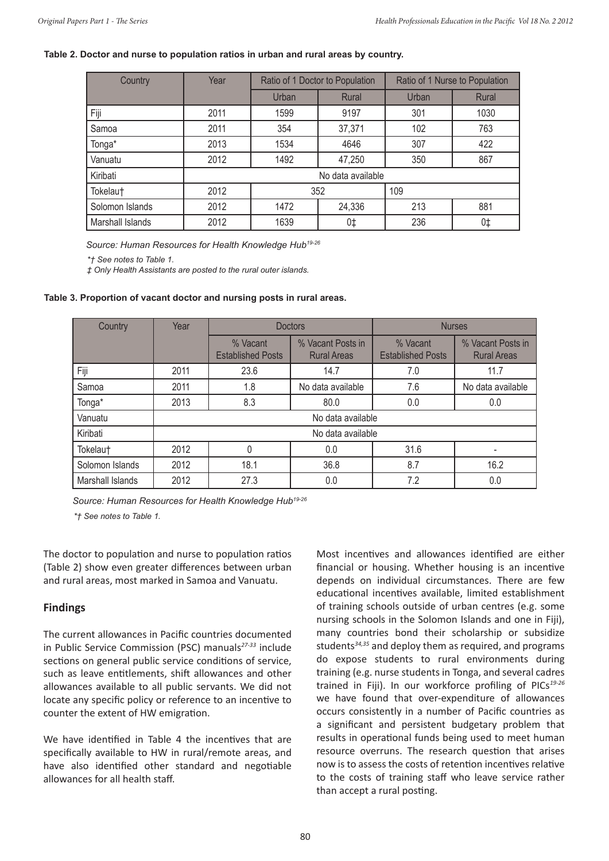#### **Table 2. Doctor and nurse to population ratios in urban and rural areas by country.**

| Country          | Year |       | Ratio of 1 Doctor to Population |       | Ratio of 1 Nurse to Population |
|------------------|------|-------|---------------------------------|-------|--------------------------------|
|                  |      | Urban | Rural                           | Urban | Rural                          |
| Fiji             | 2011 | 1599  | 9197                            | 301   | 1030                           |
| Samoa            | 2011 | 354   | 37,371                          | 102   | 763                            |
| Tonga*           | 2013 | 1534  | 4646                            | 307   | 422                            |
| Vanuatu          | 2012 | 1492  | 47,250                          | 350   | 867                            |
| Kiribati         |      |       | No data available               |       |                                |
| Tokelau†         | 2012 |       | 352                             | 109   |                                |
| Solomon Islands  | 2012 | 1472  | 24,336                          | 213   | 881                            |
| Marshall Islands | 2012 | 1639  | 0‡                              | 236   | $0+$                           |

*Source: Human Resources for Health Knowledge Hub19-26*

*\*† See notes to Table 1.* 

*‡ Only Health Assistants are posted to the rural outer islands.*

**Table 3. Proportion of vacant doctor and nursing posts in rural areas.**

| Country          | Year |                                      | <b>Doctors</b>                          |                                      | <b>Nurses</b>                           |
|------------------|------|--------------------------------------|-----------------------------------------|--------------------------------------|-----------------------------------------|
|                  |      | % Vacant<br><b>Established Posts</b> | % Vacant Posts in<br><b>Rural Areas</b> | % Vacant<br><b>Established Posts</b> | % Vacant Posts in<br><b>Rural Areas</b> |
| Fiji             | 2011 | 23.6                                 | 14.7                                    | 7.0                                  | 11.7                                    |
| Samoa            | 2011 | 1.8                                  | No data available                       | 7.6                                  | No data available                       |
| Tonga*           | 2013 | 8.3                                  | 80.0                                    | 0.0                                  | 0.0                                     |
| Vanuatu          |      |                                      | No data available                       |                                      |                                         |
| Kiribati         |      |                                      | No data available                       |                                      |                                         |
| Tokelau†         | 2012 | 0                                    | 0.0                                     | 31.6                                 |                                         |
| Solomon Islands  | 2012 | 18.1                                 | 36.8                                    | 8.7                                  | 16.2                                    |
| Marshall Islands | 2012 | 27.3                                 | 0.0                                     | 7.2                                  | 0.0                                     |

*Source: Human Resources for Health Knowledge Hub19-26*

*\*† See notes to Table 1.* 

The doctor to population and nurse to population ratios (Table 2) show even greater differences between urban and rural areas, most marked in Samoa and Vanuatu.

## **Findings**

The current allowances in Pacific countries documented in Public Service Commission (PSC) manuals*27-33* include sections on general public service conditions of service, such as leave entitlements, shift allowances and other allowances available to all public servants. We did not locate any specific policy or reference to an incentive to counter the extent of HW emigration.

We have identified in Table 4 the incentives that are specifically available to HW in rural/remote areas, and have also identified other standard and negotiable allowances for all health staff.

Most incentives and allowances identified are either financial or housing. Whether housing is an incentive depends on individual circumstances. There are few educational incentives available, limited establishment of training schools outside of urban centres (e.g. some nursing schools in the Solomon Islands and one in Fiji), many countries bond their scholarship or subsidize students*34,35* and deploy them as required, and programs do expose students to rural environments during training (e.g. nurse students in Tonga, and several cadres trained in Fiji). In our workforce profiling of PICs*19-26*  we have found that over-expenditure of allowances occurs consistently in a number of Pacific countries as a significant and persistent budgetary problem that results in operational funds being used to meet human resource overruns. The research question that arises now is to assess the costs of retention incentives relative to the costs of training staff who leave service rather than accept a rural posting.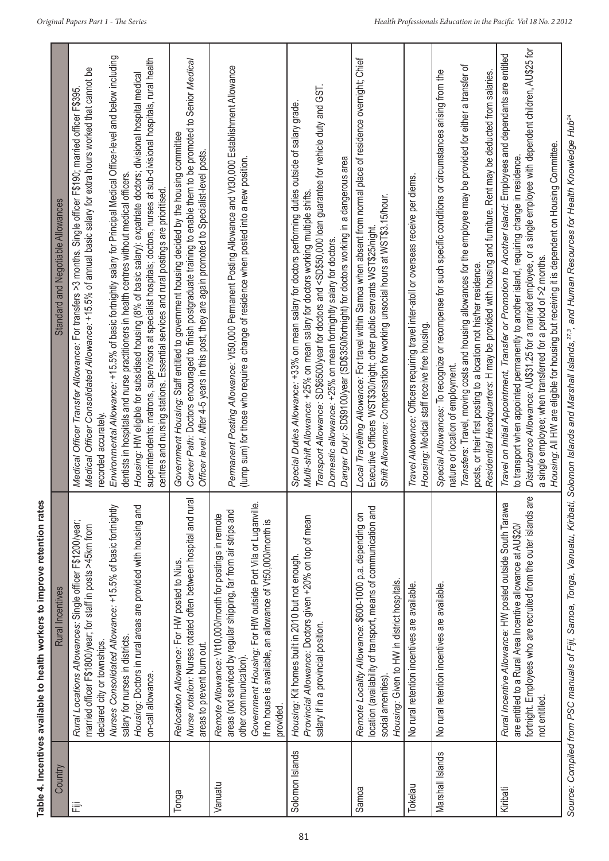| Nurse rotation: Nurses rotated often between hospital and rural<br>Government Housing: For HW outside Port Vila or Luganville.<br>location (availability of transport, means of communication and<br>areas (not serviced by regular shipping, far from air strips and<br>Remote Locality Allowance: \$600-1000 p.a. depending on<br>Remote Allowance: Vt10,000/month for postings in remote<br>Provincial Allowance: Doctors given +20% on top of mean<br>If no house is available, an allowance of Vt50,000/month is<br>Housing: Kit homes built in 2010 but not enough.<br>Relocation Allowance: For HW posted to Nius.<br>Housing: Given to HW in district hospitals.<br>No rural retention incentives are available<br>salary if in a provincial position.<br>areas to prevent burn out.<br>other communication).<br>social amenities)<br>provided.<br>Solomon Islands | Housing: Doctors in rural areas are provided with housing and | Environmental Allowance: +15.5% of basic fortnightly salary for Principal Medical Officer-level and below including<br>superintendents; matrons, supervisors at specialist hospitals; doctors, nurses at sub-divisional hospitals, rural health<br>Medical Officer Consolidated Allowance: +15.5% of annual basic salary for extra hours worked that cannot be<br>Housing: HW eligible for subsidised housing (8% of basic salary): expatriate doctors; divisional hospital medical<br>dentists in hospitals and nurse practitioners in health centres without medical officers.<br>centres and nursing stations. Essential services and rural postings are prioritised.<br>recorded accurately. |
|----------------------------------------------------------------------------------------------------------------------------------------------------------------------------------------------------------------------------------------------------------------------------------------------------------------------------------------------------------------------------------------------------------------------------------------------------------------------------------------------------------------------------------------------------------------------------------------------------------------------------------------------------------------------------------------------------------------------------------------------------------------------------------------------------------------------------------------------------------------------------|---------------------------------------------------------------|--------------------------------------------------------------------------------------------------------------------------------------------------------------------------------------------------------------------------------------------------------------------------------------------------------------------------------------------------------------------------------------------------------------------------------------------------------------------------------------------------------------------------------------------------------------------------------------------------------------------------------------------------------------------------------------------------|
|                                                                                                                                                                                                                                                                                                                                                                                                                                                                                                                                                                                                                                                                                                                                                                                                                                                                            |                                                               | Career Path: Doctors encouraged to finish postgraduate training to enable them to be promoted to Senior Medical<br>Government Housing: Staff entitled to government housing decided by the housing committee<br>Officer level. After 4-5 years in this post, they are again promoted to Specialist-level posts.                                                                                                                                                                                                                                                                                                                                                                                  |
|                                                                                                                                                                                                                                                                                                                                                                                                                                                                                                                                                                                                                                                                                                                                                                                                                                                                            |                                                               | Permanent Posting Allowance: Vt50,000 Permanent Posting Allowance and Vt30,000 Establishment Allowance<br>(lump sum) for those who require a change of residence when posted into a new position.                                                                                                                                                                                                                                                                                                                                                                                                                                                                                                |
|                                                                                                                                                                                                                                                                                                                                                                                                                                                                                                                                                                                                                                                                                                                                                                                                                                                                            |                                                               | Transport Allowance: SD\$6500/year for doctors and <sd\$50,000 and="" duty="" for="" gst.<br="" guarantee="" loan="" vehicle="">Special Duties Allowance: +33% on mean salary for doctors performing duties outside of salary grade.<br/>Danger Duty: SD\$9100/year (SD\$350/fortnight) for doctors working in a dangerous area<br/>Multi-shift Allowance: +25% on mean salary for doctors working multiple shifts.<br/>Domestic allowance: +25% on mean fortnightly salary for doctors.</sd\$50,000>                                                                                                                                                                                            |
|                                                                                                                                                                                                                                                                                                                                                                                                                                                                                                                                                                                                                                                                                                                                                                                                                                                                            |                                                               | Local Travelling Allowance: For travel within Samoa when absent from normal place of residence overnight; Chief<br>Shift Allowance: Compensation for working unsocial hours at WST\$3.15/hour.<br>Executive Officers WST\$30/night; other public servants WST\$25/night                                                                                                                                                                                                                                                                                                                                                                                                                          |
|                                                                                                                                                                                                                                                                                                                                                                                                                                                                                                                                                                                                                                                                                                                                                                                                                                                                            |                                                               | Travel Allowance: Officers requiring travel inter-atoll or overseas receive per diems.<br>Housing: Medical staff receive free housing.                                                                                                                                                                                                                                                                                                                                                                                                                                                                                                                                                           |
| No rural retention incentives are available.<br>Marshall Islands                                                                                                                                                                                                                                                                                                                                                                                                                                                                                                                                                                                                                                                                                                                                                                                                           |                                                               | Transfers: Travel, moving costs and housing allowances for the employee may be provided for either a transfer of<br>Special Allowances: To recognize or recompense for such specific conditions or circumstances arising from the<br>Residential Headquarters: H may be provided with housing and furniture. Rent may be deducted from salaries.<br>posts, or their first posting to a location not his/her residence.<br>nature or location of employment.                                                                                                                                                                                                                                      |
| fortnight. Employees who are recruited from the outer islands are<br>Rural Incentive Allowance: HW posted outside South Tarawa<br>are entitled to a Rural Area Incentive allowance at AU\$20/<br>not entitled.                                                                                                                                                                                                                                                                                                                                                                                                                                                                                                                                                                                                                                                             | $\varpi$                                                      | Disturbance Allowance: AU\$31.25 for a married employee, or a single employee with dependent children, AU\$25 for<br>Travel on Initial Appointment, Transfer or Promotion to Another Island: Employees and dependants are entitled<br>Housing: All HW are eligible for housing but receiving it is dependent on Housing Committee.<br>to transport when appointed permanently to another island, requiring change in residence.<br>single employee; when transferred for a period of >2 months.                                                                                                                                                                                                  |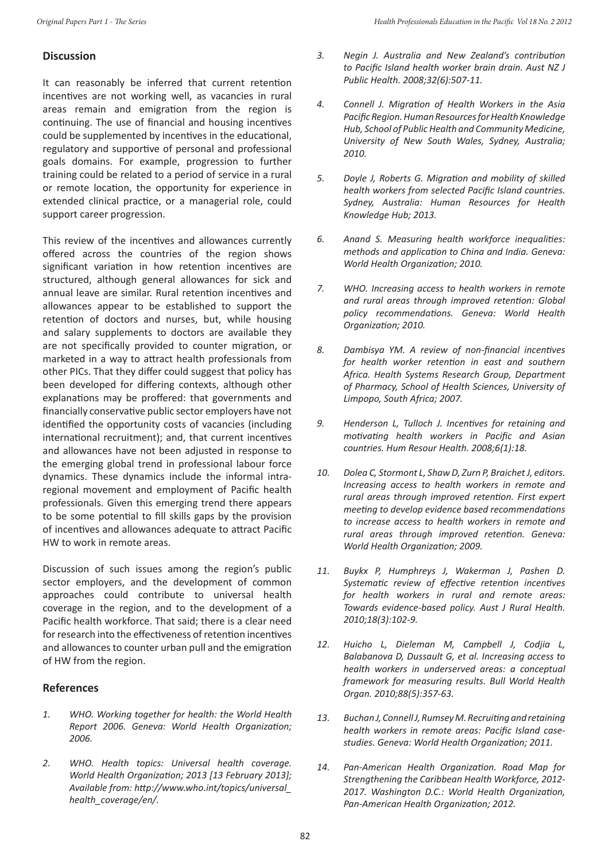## **Discussion**

It can reasonably be inferred that current retention incentives are not working well, as vacancies in rural areas remain and emigration from the region is continuing. The use of financial and housing incentives could be supplemented by incentives in the educational, regulatory and supportive of personal and professional goals domains. For example, progression to further training could be related to a period of service in a rural or remote location, the opportunity for experience in extended clinical practice, or a managerial role, could support career progression.

This review of the incentives and allowances currently offered across the countries of the region shows significant variation in how retention incentives are structured, although general allowances for sick and annual leave are similar. Rural retention incentives and allowances appear to be established to support the retention of doctors and nurses, but, while housing and salary supplements to doctors are available they are not specifically provided to counter migration, or marketed in a way to attract health professionals from other PICs. That they differ could suggest that policy has been developed for differing contexts, although other explanations may be proffered: that governments and financially conservative public sector employers have not identified the opportunity costs of vacancies (including international recruitment); and, that current incentives and allowances have not been adjusted in response to the emerging global trend in professional labour force dynamics. These dynamics include the informal intraregional movement and employment of Pacific health professionals. Given this emerging trend there appears to be some potential to fill skills gaps by the provision of incentives and allowances adequate to attract Pacific HW to work in remote areas.

Discussion of such issues among the region's public sector employers, and the development of common approaches could contribute to universal health coverage in the region, and to the development of a Pacific health workforce. That said; there is a clear need for research into the effectiveness of retention incentives and allowances to counter urban pull and the emigration of HW from the region.

## **References**

- *1. WHO. Working together for health: the World Health Report 2006. Geneva: World Health Organization; 2006.*
- *2. WHO. Health topics: Universal health coverage. World Health Organization; 2013 [13 February 2013]; Available from: http://www.who.int/topics/universal\_ health\_coverage/en/.*
- *3. Negin J. Australia and New Zealand's contribution to Pacific Island health worker brain drain. Aust NZ J Public Health. 2008;32(6):507-11.*
- *4. Connell J. Migration of Health Workers in the Asia Pacific Region. Human Resources for Health Knowledge Hub, School of Public Health and Community Medicine, University of New South Wales, Sydney, Australia; 2010.*
- *5. Doyle J, Roberts G. Migration and mobility of skilled health workers from selected Pacific Island countries. Sydney, Australia: Human Resources for Health Knowledge Hub; 2013.*
- *6. Anand S. Measuring health workforce inequalities: methods and application to China and India. Geneva: World Health Organization; 2010.*
- *7. WHO. Increasing access to health workers in remote and rural areas through improved retention: Global policy recommendations. Geneva: World Health Organization; 2010.*
- *8. Dambisya YM. A review of non-financial incentives for health worker retention in east and southern Africa. Health Systems Research Group, Department of Pharmacy, School of Health Sciences, University of Limpopo, South Africa; 2007.*
- *9. Henderson L, Tulloch J. Incentives for retaining and motivating health workers in Pacific and Asian countries. Hum Resour Health. 2008;6(1):18.*
- *10. Dolea C, Stormont L, Shaw D, Zurn P, Braichet J, editors. Increasing access to health workers in remote and rural areas through improved retention. First expert meeting to develop evidence based recommendations to increase access to health workers in remote and rural areas through improved retention. Geneva: World Health Organization; 2009.*
- *11. Buykx P, Humphreys J, Wakerman J, Pashen D. Systematic review of effective retention incentives for health workers in rural and remote areas: Towards evidence-based policy. Aust J Rural Health. 2010;18(3):102-9.*
- *12. Huicho L, Dieleman M, Campbell J, Codjia L, Balabanova D, Dussault G, et al. Increasing access to health workers in underserved areas: a conceptual framework for measuring results. Bull World Health Organ. 2010;88(5):357-63.*
- *13. Buchan J, Connell J, Rumsey M. Recruiting and retaining health workers in remote areas: Pacific Island casestudies. Geneva: World Health Organization; 2011.*
- *14. Pan-American Health Organization. Road Map for Strengthening the Caribbean Health Workforce, 2012- 2017. Washington D.C.: World Health Organization, Pan-American Health Organization; 2012.*